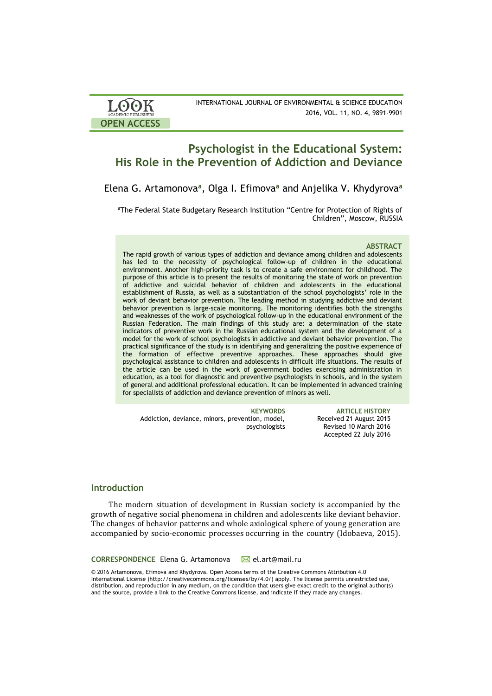| <b>LOOK</b>         | INTERNATIONAL JOURNAL OF ENVIRONMENTAL & SCIENCE EDUCATION |
|---------------------|------------------------------------------------------------|
| ACADEMIC PUBLISHERS | 2016, VOL. 11, NO. 4, 9891-9901                            |
| <b>OPEN ACCESS</b>  |                                                            |

# **Psychologist in the Educational System: His Role in the Prevention of Addiction and Deviance**

Elena G. Artamonova**<sup>a</sup>** , Olga I. Efimova**<sup>a</sup>** and Anjelika V. Khydyrova**<sup>a</sup>**

<sup>a</sup>The Federal State Budgetary Research Institution "Centre for Protection of Rights of Children", Moscow, RUSSIA

#### **ABSTRACT**

**I** of addictive and suicidal behavior of children and adolescents in the educational **N** and weaknesses of the work of psychological follow-up in the educational environment of the the formation of effective preventive approaches. These approaches should give The rapid growth of various types of addiction and deviance among children and adolescents has led to the necessity of psychological follow-up of children in the educational environment. Another high-priority task is to create a safe environment for childhood. The purpose of this article is to present the results of monitoring the state of work on prevention establishment of Russia, as well as a substantiation of the school psychologists' role in the work of deviant behavior prevention. The leading method in studying addictive and deviant behavior prevention is large-scale monitoring. The monitoring identifies both the strengths Russian Federation. The main findings of this study are: a determination of the state indicators of preventive work in the Russian educational system and the development of a model for the work of school psychologists in addictive and deviant behavior prevention. The practical significance of the study is in identifying and generalizing the positive experience of psychological assistance to children and adolescents in difficult life situations. The results of the article can be used in the work of government bodies exercising administration in education, as a tool for diagnostic and preventive psychologists in schools, and in the system of general and additional professional education. It can be implemented in advanced training for specialists of addiction and deviance prevention of minors as well.

Addiction, deviance, minors, prevention, model, psychologists

**KEYWORDS ARTICLE HISTORY** Received 21 August 2015 Revised 10 March 2016 Accepted 22 July 2016

# **Introduction**

The modern situation of development in Russian society is accompanied by the growth of negative social phenomena in children and adolescents like deviant behavior. The changes of behavior patterns and whole axiological sphere of young generation are accompanied by socio-economic processes occurring in the country (Idobaeva, 2015).

**CORRESPONDENCE** Elena G. Artamonova M[el.art@mail.ru](mailto:el.art@mail.ru)

© 2016 Artamonova, Efimova and Khydyrova. Open Access terms of the Creative Commons Attribution 4.0 International License (http://creativecommons.org/licenses/by/4.0/) apply. The license permits unrestricted use, distribution, and reproduction in any medium, on the condition that users give exact credit to the original author(s) and the source, provide a link to the Creative Commons license, and indicate if they made any changes.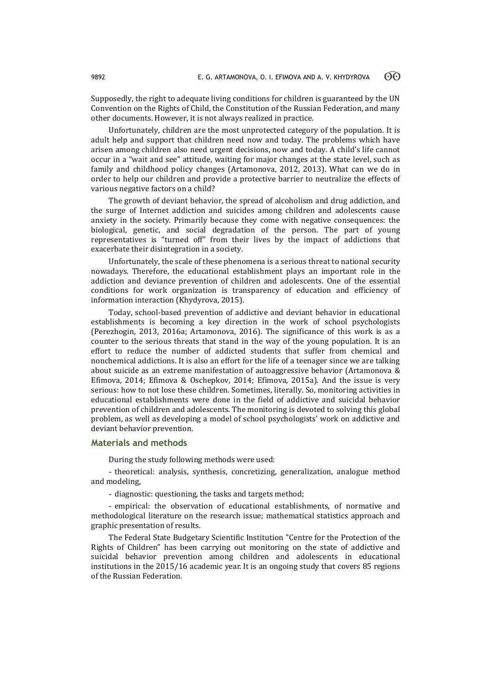Supposedly, the right to adequate living conditions for children is guaranteed by the UN Convention on the Rights of Child, the Constitution of the Russian Federation, and many other documents. However, it is not always realized in practice.

Unfortunately, children are the most unprotected category of the population. It is adult help and support that children need now and today. The problems which have arisen among children also need urgent decisions, now and today. A child's life cannot occur in a "wait and see" attitude, waiting for major changes at the state level, such as family and childhood policy changes (Artamonova, 2012, 2013). What can we do in order to help our children and provide a protective barrier to neutralize the effects of various negative factors on a child?

The growth of deviant behavior, the spread of alcoholism and drug addiction, and the surge of Internet addiction and suicides among children and adolescents cause anxiety in the society. Primarily because they come with negative consequences: the biological, genetic, and social degradation of the person. The part of young representatives is "turned off" from their lives by the impact of addictions that exacerbate their disintegration in a society.

Unfortunately, the scale of these phenomena is a serious threat to national security nowadays. Therefore, the educational establishment plays an important role in the addiction and deviance prevention of children and adolescents. One of the essential conditions for work organization is transparency of education and efficiency of information interaction (Khydyrova, 2015).

Today, school-based prevention of addictive and deviant behavior in educational establishments is becoming a key direction in the work of school psychologists (Perezhogin, 2013, 2016a; Artamonova, 2016). The significance of this work is as a counter to the serious threats that stand in the way of the young population. It is an effort to reduce the number of addicted students that suffer from chemical and nonchemical addictions. It is also an effort for the life of a teenager since we are talking about suicide as an extreme manifestation of autoaggressive behavior (Artamonova & Efimova, 2014; Efimova & Oschepkov, 2014; Efimova, 2015a). And the issue is very serious: how to not lose these children. Sometimes, literally. So, monitoring activities in educational establishments were done in the field of addictive and suicidal behavior prevention of children and adolescents. The monitoring is devoted to solving this global problem, as well as developing a model of school psychologists' work on addictive and deviant behavior prevention.

### **Materials and methods**

During the study following methods were used:

- theoretical: analysis, synthesis, concretizing, generalization, analogue method and modeling,

- diagnostic: questioning, the tasks and targets method;

- empirical: the observation of educational establishments, of normative and methodological literature on the research issue; mathematical statistics approach and graphic presentation of results.

The Federal State Budgetary Scientific Institution "Centre for the Protection of the Rights of Children" has been carrying out monitoring on the state of addictive and suicidal behavior prevention among children and adolescents in educational institutions in the 2015/16 academic year. It is an ongoing study that covers 85 regions of the Russian Federation.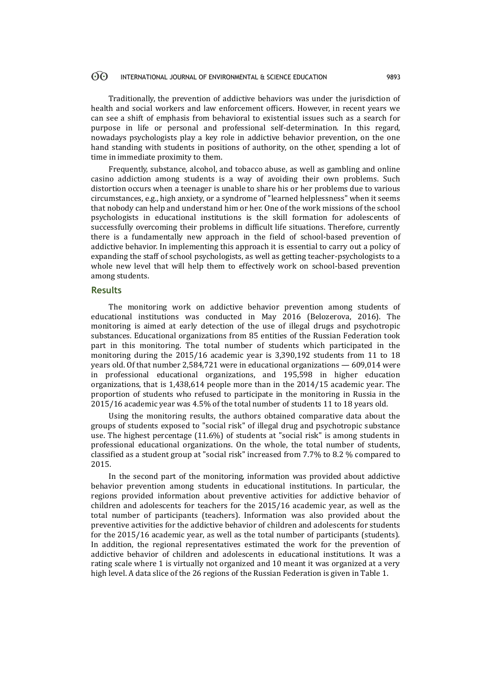#### 60 INTERNATIONAL JOURNAL OF ENVIRONMENTAL & SCIENCE EDUCATION 9893

Traditionally, the prevention of addictive behaviors was under the jurisdiction of health and social workers and law enforcement officers. However, in recent years we can see a shift of emphasis from behavioral to existential issues such as a search for purpose in life or personal and professional self-determination. In this regard, nowadays psychologists play a key role in addictive behavior prevention, on the one hand standing with students in positions of authority, on the other, spending a lot of time in immediate proximity to them.

Frequently, substance, alcohol, and tobacco abuse, as well as gambling and online casino addiction among students is a way of avoiding their own problems. Such distortion occurs when a teenager is unable to share his or her problems due to various circumstances, e.g., high anxiety, or a syndrome of "learned helplessness" when it seems that nobody can help and understand him or her. One of the work missions of the school psychologists in educational institutions is the skill formation for adolescents of successfully overcoming their problems in difficult life situations. Therefore, currently there is a fundamentally new approach in the field of school-based prevention of addictive behavior. In implementing this approach it is essential to carry out a policy of expanding the staff of school psychologists, as well as getting teacher-psychologists to a whole new level that will help them to effectively work on school-based prevention among students.

## **Results**

The monitoring work on addictive behavior prevention among students of educational institutions was conducted in May 2016 (Belozerova, 2016). The monitoring is aimed at early detection of the use of illegal drugs and psychotropic substances. Educational organizations from 85 entities of the Russian Federation took part in this monitoring. The total number of students which participated in the monitoring during the 2015/16 academic year is 3,390,192 students from 11 to 18 years old. Of that number 2,584,721 were in educational organizations — 609,014 were in professional educational organizations, and 195,598 in higher education organizations, that is 1,438,614 people more than in the 2014/15 academic year. The proportion of students who refused to participate in the monitoring in Russia in the 2015/16 academic year was 4.5% of the total number of students 11 to 18 years old.

Using the monitoring results, the authors obtained comparative data about the groups of students exposed to "social risk" of illegal drug and psychotropic substance use. The highest percentage (11.6%) of students at "social risk" is among students in professional educational organizations. On the whole, the total number of students, classified as a student group at "social risk" increased from 7.7% to 8.2 % compared to 2015.

In the second part of the monitoring, information was provided about addictive behavior prevention among students in educational institutions. In particular, the regions provided information about preventive activities for addictive behavior of children and adolescents for teachers for the 2015/16 academic year, as well as the total number of participants (teachers). Information was also provided about the preventive activities for the addictive behavior of children and adolescents for students for the 2015/16 academic year, as well as the total number of participants (students). In addition, the regional representatives estimated the work for the prevention of addictive behavior of children and adolescents in educational institutions. It was a rating scale where 1 is virtually not organized and 10 meant it was organized at a very high level. A data slice of the 26 regions of the Russian Federation is given in Table 1.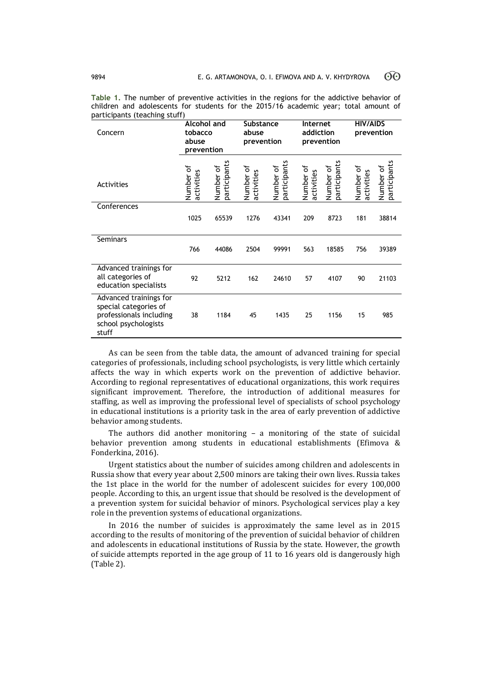| Concern                                                                                                     | <b>Alcohol and</b><br>tobacco<br>abuse<br>prevention |                           | <b>Substance</b><br>abuse<br>prevention |                           | Internet<br>addiction<br>prevention |                           | <b>HIV/AIDS</b><br>prevention |                           |
|-------------------------------------------------------------------------------------------------------------|------------------------------------------------------|---------------------------|-----------------------------------------|---------------------------|-------------------------------------|---------------------------|-------------------------------|---------------------------|
| Activities                                                                                                  | Number of<br>activities                              | participants<br>Number of | Number of<br>activities                 | participants<br>Number of | Number of<br>activities             | participants<br>Number of | Number of<br>activities       | participants<br>Number of |
| Conferences                                                                                                 | 1025                                                 | 65539                     | 1276                                    | 43341                     | 209                                 | 8723                      | 181                           | 38814                     |
| <b>Seminars</b>                                                                                             | 766                                                  | 44086                     | 2504                                    | 99991                     | 563                                 | 18585                     | 756                           | 39389                     |
| Advanced trainings for<br>all categories of<br>education specialists                                        | 92                                                   | 5212                      | 162                                     | 24610                     | 57                                  | 4107                      | 90                            | 21103                     |
| Advanced trainings for<br>special categories of<br>professionals including<br>school psychologists<br>stuff | 38                                                   | 1184                      | 45                                      | 1435                      | 25                                  | 1156                      | 15                            | 985                       |

**Table 1.** The number of preventive activities in the regions for the addictive behavior of children and adolescents for students for the 2015/16 academic year; total amount of participants (teaching stuff)

As can be seen from the table data, the amount of advanced training for special categories of professionals, including school psychologists, is very little which certainly affects the way in which experts work on the prevention of addictive behavior. According to regional representatives of educational organizations, this work requires significant improvement. Therefore, the introduction of additional measures for staffing, as well as improving the professional level of specialists of school psychology in educational institutions is a priority task in the area of early prevention of addictive behavior among students.

The authors did another monitoring – a monitoring of the state of suicidal behavior prevention among students in educational establishments (Efimova & Fonderkina, 2016).

Urgent statistics about the number of suicides among children and adolescents in Russia show that every year about 2,500 minors are taking their own lives. Russia takes the 1st place in the world for the number of adolescent suicides for every 100,000 people. According to this, an urgent issue that should be resolved is the development of a prevention system for suicidal behavior of minors. Psychological services play a key role in the prevention systems of educational organizations.

In 2016 the number of suicides is approximately the same level as in 2015 according to the results of monitoring of the prevention of suicidal behavior of children and adolescents in educational institutions of Russia by the state. However, the growth of suicide attempts reported in the age group of 11 to 16 years old is dangerously high (Table 2).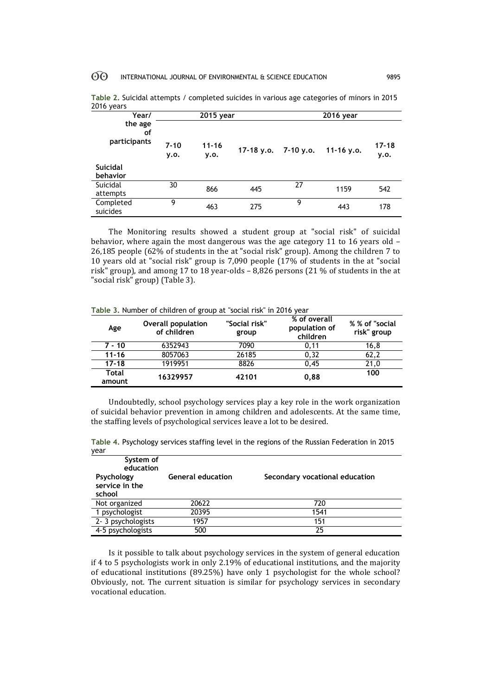#### 60 INTERNATIONAL JOURNAL OF ENVIRONMENTAL & SCIENCE EDUCATION 9895

| <b>LUIU VEAIS</b>             |                  |                   |                        |           |              |                   |
|-------------------------------|------------------|-------------------|------------------------|-----------|--------------|-------------------|
| Year/                         | 2015 year        |                   |                        | 2016 year |              |                   |
| the age<br>οf<br>participants | $7 - 10$<br>y.o. | $11 - 16$<br>y.o. | 17-18 y.o. $7-10$ y.o. |           | 11-16 $v.o.$ | $17 - 18$<br>y.o. |
| <b>Suicidal</b><br>behavior   |                  |                   |                        |           |              |                   |
| Suicidal<br>attempts          | 30               | 866               | 445                    | 27        | 1159         | 542               |
| Completed<br>suicides         | 9                | 463               | 275                    | 9         | 443          | 178               |

|            | Table 2. Suicidal attempts / completed suicides in various age categories of minors in 2015 |  |
|------------|---------------------------------------------------------------------------------------------|--|
| 2016 years |                                                                                             |  |

The Monitoring results showed a student group at "social risk" of suicidal behavior, where again the most dangerous was the age category 11 to 16 years old – 26,185 people (62% of students in the at "social risk" group). Among the children 7 to 10 years old at "social risk" group is 7,090 people (17% of students in the at "social risk" group), and among 17 to 18 year-olds – 8,826 persons (21 % of students in the at "social risk" group) (Table 3).

| Age             | <b>Overall population</b><br>of children | "Social risk"<br>group | % of overall<br>population of<br>children | % % of "social<br>risk" group |
|-----------------|------------------------------------------|------------------------|-------------------------------------------|-------------------------------|
| $7 - 10$        | 6352943                                  | 7090                   | 0.11                                      | 16,8                          |
| $11 - 16$       | 8057063                                  | 26185                  | 0.32                                      | 62,2                          |
| $17 - 18$       | 1919951                                  | 8826                   | 0.45                                      | 21,0                          |
| Total<br>amount | 16329957                                 | 42101                  | 0.88                                      | 100                           |

**Table 3.** Number of children of group at "social risk" in 2016 year

Undoubtedly, school psychology services play a key role in the work organization of suicidal behavior prevention in among children and adolescents. At the same time, the staffing levels of psychological services leave a lot to be desired.

**Table 4.** Psychology services staffing level in the regions of the Russian Federation in 2015 year

| year                                   |                          |                                |
|----------------------------------------|--------------------------|--------------------------------|
| System of<br>education                 |                          |                                |
| Psychology<br>service in the<br>school | <b>General education</b> | Secondary vocational education |
| Not organized                          | 20622                    | 720                            |
| 1 psychologist                         | 20395                    | 1541                           |
| 2-3 psychologists                      | 1957                     | 151                            |
| 4-5 psychologists                      | 500                      | 25                             |

Is it possible to talk about psychology services in the system of general education if 4 to 5 psychologists work in only 2.19% of educational institutions, and the majority of educational institutions (89.25%) have only 1 psychologist for the whole school? Obviously, not. The current situation is similar for psychology services in secondary vocational education.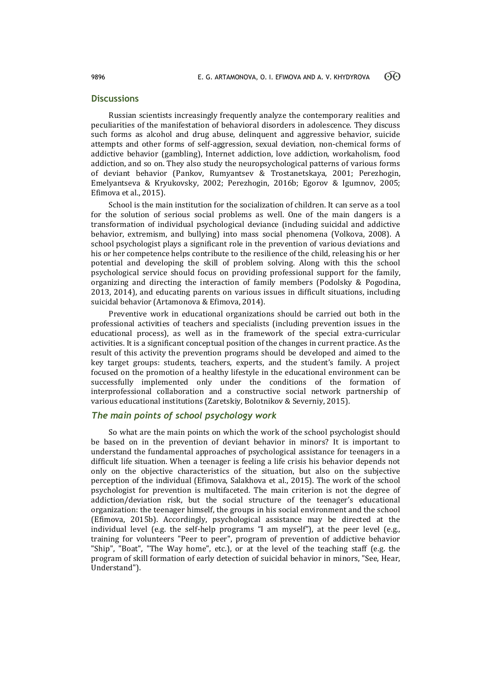### **Discussions**

Russian scientists increasingly frequently analyze the contemporary realities and peculiarities of the manifestation of behavioral disorders in adolescence. They discuss such forms as alcohol and drug abuse, delinquent and aggressive behavior, suicide attempts and other forms of self-aggression, sexual deviation, non-chemical forms of addictive behavior (gambling), Internet addiction, love addiction, workaholism, food addiction, and so on. They also study the neuropsychological patterns of various forms of deviant behavior (Pankov, Rumyantsev & Trostanetskaya, 2001; Perezhogin, Emelyantseva & Kryukovsky, 2002; Perezhogin, 2016b; Egorov & Igumnov, 2005; Efimova et al., 2015).

School is the main institution for the socialization of children. It can serve as a tool for the solution of serious social problems as well. One of the main dangers is a transformation of individual psychological deviance (including suicidal and addictive behavior, extremism, and bullying) into mass social phenomena (Volkova, 2008). A school psychologist plays a significant role in the prevention of various deviations and his or her competence helps contribute to the resilience of the child, releasing his or her potential and developing the skill of problem solving. Along with this the school psychological service should focus on providing professional support for the family, organizing and directing the interaction of family members (Podolsky & Pogodina, 2013, 2014), and educating parents on various issues in difficult situations, including suicidal behavior (Artamonova & Efimova, 2014).

Preventive work in educational organizations should be carried out both in the professional activities of teachers and specialists (including prevention issues in the educational process), as well as in the framework of the special extra-curricular activities. It is a significant conceptual position of the changes in current practice. As the result of this activity the prevention programs should be developed and aimed to the key target groups: students, teachers, experts, and the student's family. A project focused on the promotion of a healthy lifestyle in the educational environment can be successfully implemented only under the conditions of the formation of interprofessional collaboration and a constructive social network partnership of various educational institutions (Zaretskiy, Bolotnikov & Severniy, 2015).

# *The main points of school psychology work*

So what are the main points on which the work of the school psychologist should be based on in the prevention of deviant behavior in minors? It is important to understand the fundamental approaches of psychological assistance for teenagers in a difficult life situation. When a teenager is feeling a life crisis his behavior depends not only on the objective characteristics of the situation, but also on the subjective perception of the individual (Efimova, Salakhova et al., 2015). The work of the school psychologist for prevention is multifaceted. The main criterion is not the degree of addiction/deviation risk, but the social structure of the teenager's educational organization: the teenager himself, the groups in his social environment and the school (Efimova, 2015b). Accordingly, psychological assistance may be directed at the individual level (e.g. the self-help programs "I am myself"), at the peer level (e.g., training for volunteers "Peer to peer", program of prevention of addictive behavior "Ship", "Boat", "The Way home", etc.), or at the level of the teaching staff (e.g. the program of skill formation of early detection of suicidal behavior in minors, "See, Hear, Understand").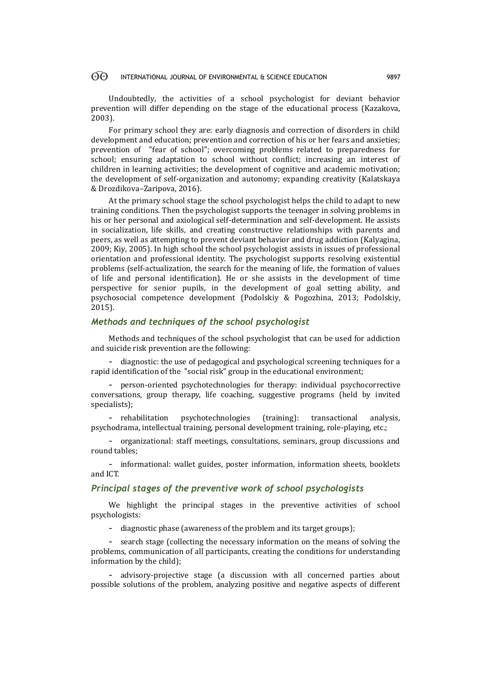#### $\odot$ INTERNATIONAL JOURNAL OF ENVIRONMENTAL & SCIENCE EDUCATION 9897

Undoubtedly, the activities of a school psychologist for deviant behavior prevention will differ depending on the stage of the educational process (Kazakova, 2003).

For primary school they are: early diagnosis and correction of disorders in child development and education; prevention and correction of his or her fears and anxieties; prevention of "fear of school"; overcoming problems related to preparedness for school; ensuring adaptation to school without conflict; increasing an interest of children in learning activities; the development of cognitive and academic motivation; the development of self-organization and autonomy; expanding creativity (Kalatskaya & Drozdikova–Zaripova, 2016).

At the primary school stage the school psychologist helps the child to adapt to new training conditions. Then the psychologist supports the teenager in solving problems in his or her personal and axiological self-determination and self-development. He assists in socialization, life skills, and creating constructive relationships with parents and peers, as well as attempting to prevent deviant behavior and drug addiction (Kalyagina, 2009; Kiy, 2005). In high school the school psychologist assists in issues of professional orientation and professional identity. The psychologist supports resolving existential problems (self-actualization, the search for the meaning of life, the formation of values of life and personal identification). He or she assists in the development of time perspective for senior pupils, in the development of goal setting ability, and psychosocial competence development (Podolskiy & Pogozhina, 2013; Podolskiy, 2015).

# *Methods and techniques of the school psychologist*

Methods and techniques of the school psychologist that can be used for addiction and suicide risk prevention are the following:

- diagnostic: the use of pedagogical and psychological screening techniques for a rapid identification of the "social risk" group in the educational environment;

- person-oriented psychotechnologies for therapy: individual psychocorrective conversations, group therapy, life coaching, suggestive programs (held by invited specialists);

- rehabilitation psychotechnologies (training): transactional analysis, psychodrama, intellectual training, personal development training, role-playing, etc.;

- organizational: staff meetings, consultations, seminars, group discussions and round tables;

- informational: wallet guides, poster information, information sheets, booklets and ICT.

## *Principal stages of the preventive work of school psychologists*

We highlight the principal stages in the preventive activities of school psychologists:

- diagnostic phase (awareness of the problem and its target groups);

- search stage (collecting the necessary information on the means of solving the problems, communication of all participants, creating the conditions for understanding information by the child);

- advisory-projective stage (a discussion with all concerned parties about possible solutions of the problem, analyzing positive and negative aspects of different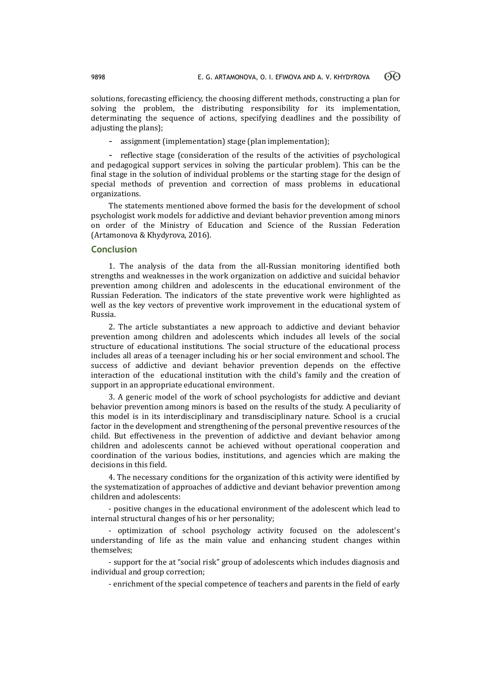solutions, forecasting efficiency, the choosing different methods, constructing a plan for solving the problem, the distributing responsibility for its implementation, determinating the sequence of actions, specifying deadlines and the possibility of adjusting the plans);

- assignment (implementation) stage (plan implementation);

- reflective stage (consideration of the results of the activities of psychological and pedagogical support services in solving the particular problem). This can be the final stage in the solution of individual problems or the starting stage for the design of special methods of prevention and correction of mass problems in educational organizations.

The statements mentioned above formed the basis for the development of school psychologist work models for addictive and deviant behavior prevention among minors on order of the Ministry of Education and Science of the Russian Federation (Artamonova & Khydyrova, 2016).

# **Conclusion**

1. The analysis of the data from the all-Russian monitoring identified both strengths and weaknesses in the work organization on addictive and suicidal behavior prevention among children and adolescents in the educational environment of the Russian Federation. The indicators of the state preventive work were highlighted as well as the key vectors of preventive work improvement in the educational system of Russia.

2. The article substantiates a new approach to addictive and deviant behavior prevention among children and adolescents which includes all levels of the social structure of educational institutions. The social structure of the educational process includes all areas of a teenager including his or her social environment and school. The success of addictive and deviant behavior prevention depends on the effective interaction of the educational institution with the child's family and the creation of support in an appropriate educational environment.

3. A generic model of the work of school psychologists for addictive and deviant behavior prevention among minors is based on the results of the study. A peculiarity of this model is in its interdisciplinary and transdisciplinary nature. School is a crucial factor in the development and strengthening of the personal preventive resources of the child. But effectiveness in the prevention of addictive and deviant behavior among children and adolescents cannot be achieved without operational cooperation and coordination of the various bodies, institutions, and agencies which are making the decisions in this field.

4. The necessary conditions for the organization of this activity were identified by the systematization of approaches of addictive and deviant behavior prevention among children and adolescents:

- positive changes in the educational environment of the adolescent which lead to internal structural changes of his or her personality;

- optimization of school psychology activity focused on the adolescent's understanding of life as the main value and enhancing student changes within themselves;

- support for the at "social risk" group of adolescents which includes diagnosis and individual and group correction;

- enrichment of the special competence of teachers and parents in the field of early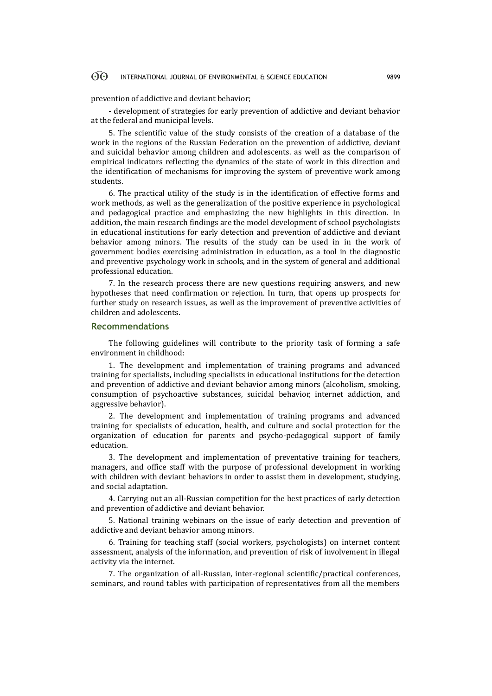#### 60 INTERNATIONAL JOURNAL OF ENVIRONMENTAL & SCIENCE EDUCATION 9899

prevention of addictive and deviant behavior;

- development of strategies for early prevention of addictive and deviant behavior at the federal and municipal levels.

5. The scientific value of the study consists of the creation of a database of the work in the regions of the Russian Federation on the prevention of addictive, deviant and suicidal behavior among children and adolescents. as well as the comparison of empirical indicators reflecting the dynamics of the state of work in this direction and the identification of mechanisms for improving the system of preventive work among students.

6. The practical utility of the study is in the identification of effective forms and work methods, as well as the generalization of the positive experience in psychological and pedagogical practice and emphasizing the new highlights in this direction. In addition, the main research findings are the model development of school psychologists in educational institutions for early detection and prevention of addictive and deviant behavior among minors. The results of the study can be used in in the work of government bodies exercising administration in education, as a tool in the diagnostic and preventive psychology work in schools, and in the system of general and additional professional education.

7. In the research process there are new questions requiring answers, and new hypotheses that need confirmation or rejection. In turn, that opens up prospects for further study on research issues, as well as the improvement of preventive activities of children and adolescents.

#### **Recommendations**

The following guidelines will contribute to the priority task of forming a safe environment in childhood:

1. The development and implementation of training programs and advanced training for specialists, including specialists in educational institutions for the detection and prevention of addictive and deviant behavior among minors (alcoholism, smoking, consumption of psychoactive substances, suicidal behavior, internet addiction, and aggressive behavior).

2. The development and implementation of training programs and advanced training for specialists of education, health, and culture and social protection for the organization of education for parents and psycho-pedagogical support of family education.

3. The development and implementation of preventative training for teachers, managers, and office staff with the purpose of professional development in working with children with deviant behaviors in order to assist them in development, studying, and social adaptation.

4. Carrying out an all-Russian competition for the best practices of early detection and prevention of addictive and deviant behavior.

5. National training webinars on the issue of early detection and prevention of addictive and deviant behavior among minors.

6. Training for teaching staff (social workers, psychologists) on internet content assessment, analysis of the information, and prevention of risk of involvement in illegal activity via the internet.

7. The organization of all-Russian, inter-regional scientific/practical conferences, seminars, and round tables with participation of representatives from all the members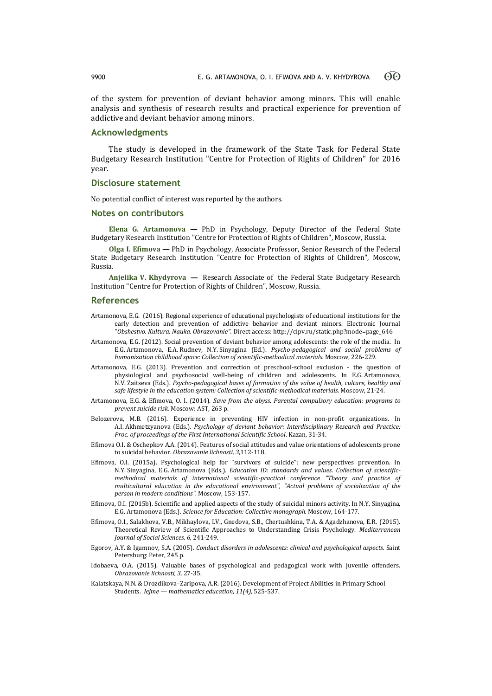of the system for prevention of deviant behavior among minors. This will enable analysis and synthesis of research results and practical experience for prevention of addictive and deviant behavior among minors.

## **Acknowledgments**

The study is developed in the framework of the State Task for Federal State Budgetary Research Institution "Centre for Protection of Rights of Children" for 2016 year.

#### **Disclosure statement**

No potential conflict of interest was reported by the authors.

#### **Notes on contributors**

**Elena G. Artamonova —** PhD in Psychology, Deputy Director of the Federal State Budgetary Research Institution "Centre for Protection of Rights of Children", Moscow, Russia.

**Olga I. Efimova —** PhD in Psychology, Associate Professor, Senior Research of the Federal State Budgetary Research Institution "Centre for Protection of Rights of Children", Moscow, Russia.

**Anjelika V. Khydyrova —** Research Associate of the Federal State Budgetary Research Institution "Centre for Protection of Rights of Children", Moscow, Russia.

#### **References**

- Artamonova, E.G. (2016). Regional experience of educational psychologists of educational institutions for the early detection and prevention of addictive behavior and deviant minors. Electronic Journal "*Obshestvo. Kultura. Nauka. Obrazovanie".* Direct access[: http://cipv.ru/static.php?mode=page\\_646](http://cipv.ru/static.php?mode=page_646)
- Artamonova, E.G. (2012). Social prevention of deviant behavior among adolescents: the role of the media. In E.G. Artamonova, E.A. Rudnev, N.Y. Sinyagina (Ed.). *Psycho-pedagogical and social problems of humanization childhood space: Collection of scientific-methodical materials.* Moscow, 226-229.
- Artamonova, E.G. (2013). Prevention and correction of preschool-school exclusion the question of physiological and psychosocial well-being of children and adolescents. In E.G. Artamonova, N.V. Zaitseva (Eds.). *Psycho-pedagogical bases of formation of the value of health, culture, healthy and safe lifestyle in the education system: Collection of scientific-methodical materials.* Moscow, 21-24.
- Artamonova, E.G. & Efimova, O. I. (2014). *Save from the abyss. Parental compulsory education: programs to prevent suicide risk.* Moscow: AST, 263 p.
- Belozerova, M.B. (2016). Experience in preventing HIV infection in non-profit organizations. In A.I. Akhmetzyanova (Eds.). *Psychology of deviant behavior: Interdisciplinary Research and Practice: Proc. of proceedings of the First International Scientific School*. Kazan, 31-34.
- Efimova O.I. & Oschepkov A.A. (2014). Features of social attitudes and value orientations of adolescents prone to suicidal behavior. *Obrazovanie lichnosti, 3,*112-118.
- Efimova, O.I. (2015a). Psychological help for "survivors of suicide": new perspectives prevention. In N.Y. Sinyagina, E.G. Artamonova (Eds.). *Education ID: standards and values. Collection of scientificmethodical materials of international scientific-practical conference "Theory and practice of multicultural education in the educational environment", "Actual problems of socialization of the person in modern conditions".* Moscow, 153-157.
- Efimova, O.I. (2015b). Scientific and applied aspects of the study of suicidal minors activity. In N.Y. Sinyagina, E.G. Artamonova (Eds.). *Science for Education: Collective monograph.* Moscow, 164-177.
- Efimova, O.I., Salakhova, V.B., Mikhaylova, I.V., Gnedova, S.B., Chertushkina, T.A. & Agadzhanova, E.R. (2015). Theoretical Review of Scientific Approaches to Understanding Crisis Psychology. *Mediterranean Journal of Social Sciences. 6,* 241-249.
- Egorov, A.Y. & Igumnov, S.A. (2005). *Conduct disorders in adolescents: clinical and psychological aspects.* Saint Petersburg: Peter, 245 p.
- Idobaeva, O.A. (2015). Valuable bases of psychological and pedagogical work with juvenile offenders. *Obrazovanie lichnosti, 3,* 27-35.
- Kalatskaya, N.N. & Drozdikova–Zaripova, A.R. (2016). Development of Project Abilities in Primary School Students. *Iejme — mathematics education, 11(4),* 525-537.